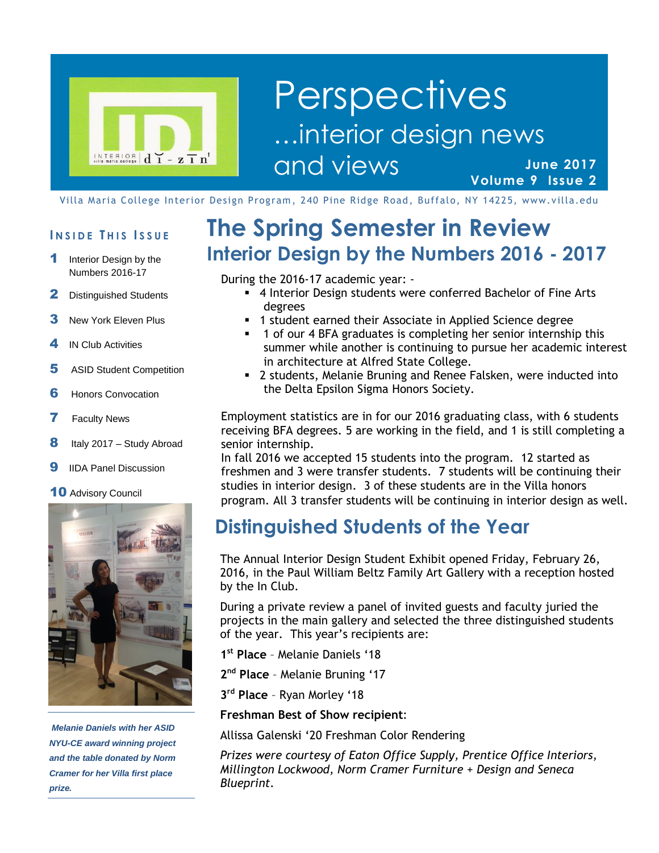

### **June 2017 Volume 9 Issue 2 Perspectives** …interior design news and views

Villa Maria College Interior Design Program, 240 Pine Ridge Road, Buffalo, NY 14225, www.villa.edu

#### **I N S I D E T H I S I S S U E**

- 1 Interior Design by the Numbers 2016-17
- 2 Distinguished Students
- **3** New York Eleven Plus
- 4 IN Club Activities
- 5 ASID Student Competition
- **6** Honors Convocation
- **7** Faculty News
- **8** Italy 2017 Study Abroad
- **9** IIDA Panel Discussion
- 10 Advisory Council



*Melanie Daniels with her ASID NYU-CE award winning project and the table donated by Norm Cramer for her Villa first place prize.*

# **The Spring Semester in Review Interior Design by the Numbers 2016 - 2017**

During the 2016-17 academic year: -

- 4 Interior Design students were conferred Bachelor of Fine Arts degrees
- 1 student earned their Associate in Applied Science degree
- 1 of our 4 BFA graduates is completing her senior internship this summer while another is continuing to pursue her academic interest in architecture at Alfred State College.
- 2 students, Melanie Bruning and Renee Falsken, were inducted into the Delta Epsilon Sigma Honors Society.

Employment statistics are in for our 2016 graduating class, with 6 students receiving BFA degrees. 5 are working in the field, and 1 is still completing a senior internship.

In fall 2016 we accepted 15 students into the program. 12 started as freshmen and 3 were transfer students. 7 students will be continuing their studies in interior design. 3 of these students are in the Villa honors program. All 3 transfer students will be continuing in interior design as well.

### **Distinguished Students of the Year**

The Annual Interior Design Student Exhibit opened Friday, February 26, 2016, in the Paul William Beltz Family Art Gallery with a reception hosted by the In Club.

During a private review a panel of invited guests and faculty juried the projects in the main gallery and selected the three distinguished students of the year. This year's recipients are:

**1 st Place** – Melanie Daniels '18

**2 nd Place** – Melanie Bruning '17

**3 rd Place** – Ryan Morley '18

#### **Freshman Best of Show recipient**:

Allissa Galenski '20 Freshman Color Rendering

*Prizes were courtesy of Eaton Office Supply, Prentice Office Interiors, Millington Lockwood, Norm Cramer Furniture + Design and Seneca Blueprint.*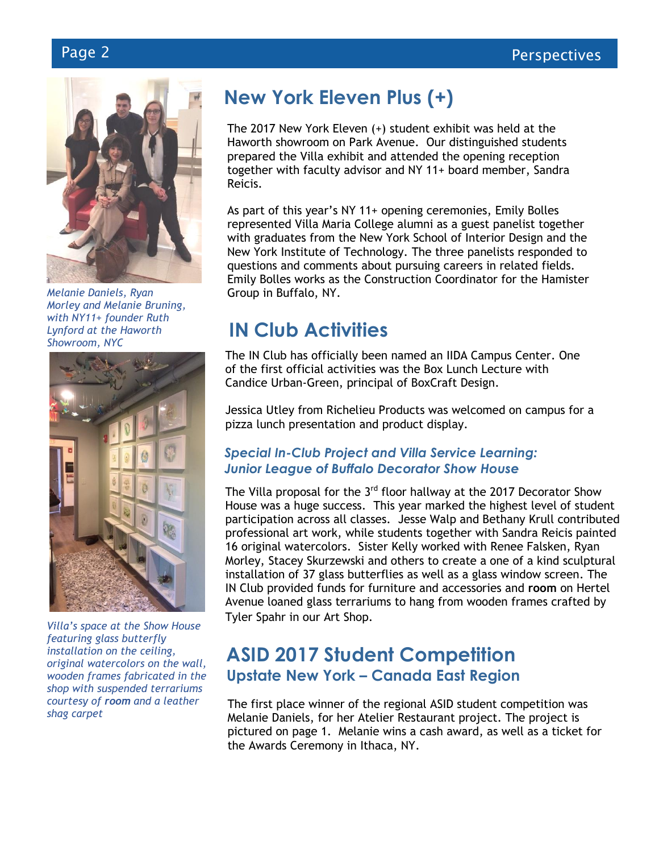

*Melanie Daniels, Ryan Morley and Melanie Bruning, with NY11+ founder Ruth Lynford at the Haworth Showroom, NYC*



 *Villa's space at the Show House featuring glass butterfly installation on the ceiling, original watercolors on the wall, wooden frames fabricated in the shop with suspended terrariums courtesy of room and a leather shag carpet*

# **New York Eleven Plus (+)**

The 2017 New York Eleven (+) student exhibit was held at the Haworth showroom on Park Avenue. Our distinguished students prepared the Villa exhibit and attended the opening reception together with faculty advisor and NY 11+ board member, Sandra Reicis.

As part of this year's NY 11+ opening ceremonies, Emily Bolles represented Villa Maria College alumni as a guest panelist together with graduates from the New York School of Interior Design and the New York Institute of Technology. The three panelists responded to questions and comments about pursuing careers in related fields. Emily Bolles works as the Construction Coordinator for the Hamister Group in Buffalo, NY.

### **IN Club Activities**

The IN Club has officially been named an IIDA Campus Center. One of the first official activities was the Box Lunch Lecture with Candice Urban-Green, principal of BoxCraft Design.

Jessica Utley from Richelieu Products was welcomed on campus for a pizza lunch presentation and product display.

### *Special In-Club Project and Villa Service Learning: Junior League of Buffalo Decorator Show House*

The Villa proposal for the 3<sup>rd</sup> floor hallway at the 2017 Decorator Show House was a huge success. This year marked the highest level of student participation across all classes. Jesse Walp and Bethany Krull contributed professional art work, while students together with Sandra Reicis painted 16 original watercolors. Sister Kelly worked with Renee Falsken, Ryan Morley, Stacey Skurzewski and others to create a one of a kind sculptural installation of 37 glass butterflies as well as a glass window screen. The IN Club provided funds for furniture and accessories and **room** on Hertel Avenue loaned glass terrariums to hang from wooden frames crafted by Tyler Spahr in our Art Shop.

### **ASID 2017 Student Competition Upstate New York – Canada East Region**

The first place winner of the regional ASID student competition was Melanie Daniels, for her Atelier Restaurant project. The project is pictured on page 1. Melanie wins a cash award, as well as a ticket for the Awards Ceremony in Ithaca, NY.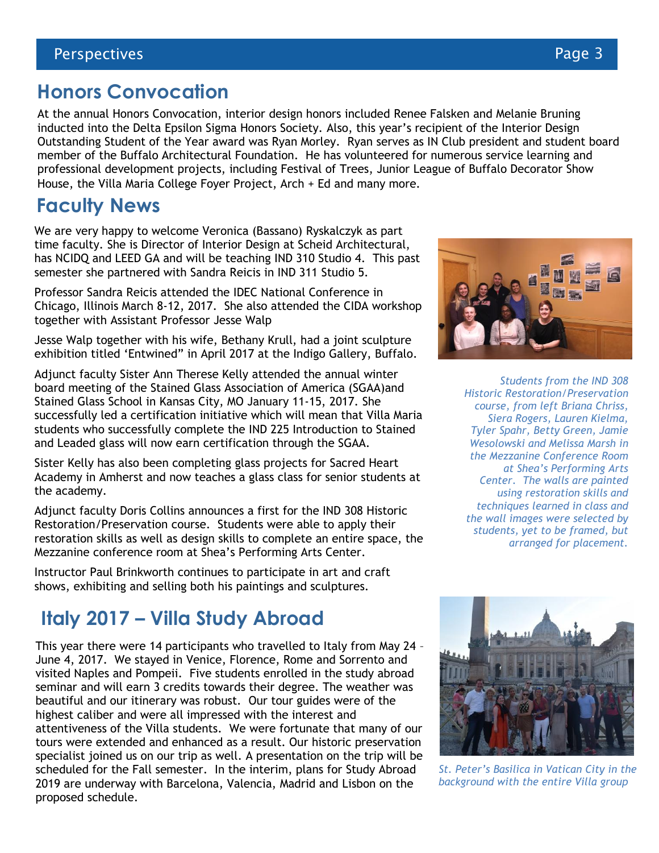### **Honors Convocation**

At the annual Honors Convocation, interior design honors included Renee Falsken and Melanie Bruning inducted into the Delta Epsilon Sigma Honors Society. Also, this year's recipient of the Interior Design Outstanding Student of the Year award was Ryan Morley. Ryan serves as IN Club president and student board member of the Buffalo Architectural Foundation. He has volunteered for numerous service learning and professional development projects, including Festival of Trees, Junior League of Buffalo Decorator Show House, the Villa Maria College Foyer Project, Arch + Ed and many more.

# **Faculty News**

We are very happy to welcome Veronica (Bassano) Ryskalczyk as part time faculty. She is Director of Interior Design at Scheid Architectural, has NCIDQ and LEED GA and will be teaching IND 310 Studio 4. This past semester she partnered with Sandra Reicis in IND 311 Studio 5.

Professor Sandra Reicis attended the IDEC National Conference in Chicago, Illinois March 8-12, 2017. She also attended the CIDA workshop together with Assistant Professor Jesse Walp

Jesse Walp together with his wife, Bethany Krull, had a joint sculpture exhibition titled 'Entwined" in April 2017 at the Indigo Gallery, Buffalo.

Adjunct faculty Sister Ann Therese Kelly attended the annual winter board meeting of the Stained Glass Association of America (SGAA)and Stained Glass School in Kansas City, MO January 11-15, 2017. She successfully led a certification initiative which will mean that Villa Maria students who successfully complete the IND 225 Introduction to Stained and Leaded glass will now earn certification through the SGAA.

Sister Kelly has also been completing glass projects for Sacred Heart Academy in Amherst and now teaches a glass class for senior students at the academy.

Adjunct faculty Doris Collins announces a first for the IND 308 Historic Restoration/Preservation course. Students were able to apply their restoration skills as well as design skills to complete an entire space, the Mezzanine conference room at Shea's Performing Arts Center.

Instructor Paul Brinkworth continues to participate in art and craft shows, exhibiting and selling both his paintings and sculptures.

### **Italy 2017 – Villa Study Abroad**

This year there were 14 participants who travelled to Italy from May 24 – June 4, 2017. We stayed in Venice, Florence, Rome and Sorrento and visited Naples and Pompeii. Five students enrolled in the study abroad seminar and will earn 3 credits towards their degree. The weather was beautiful and our itinerary was robust. Our tour guides were of the highest caliber and were all impressed with the interest and attentiveness of the Villa students. We were fortunate that many of our tours were extended and enhanced as a result. Our historic preservation specialist joined us on our trip as well. A presentation on the trip will be scheduled for the Fall semester. In the interim, plans for Study Abroad 2019 are underway with Barcelona, Valencia, Madrid and Lisbon on the proposed schedule.



*Students from the IND 308 Historic Restoration/Preservation course, from left Briana Chriss, Siera Rogers, Lauren Kielma, Tyler Spahr, Betty Green, Jamie Wesolowski and Melissa Marsh in the Mezzanine Conference Room at Shea's Performing Arts Center. The walls are painted using restoration skills and techniques learned in class and the wall images were selected by students, yet to be framed, but arranged for placement.*



*St. Peter's Basilica in Vatican City in the background with the entire Villa group*